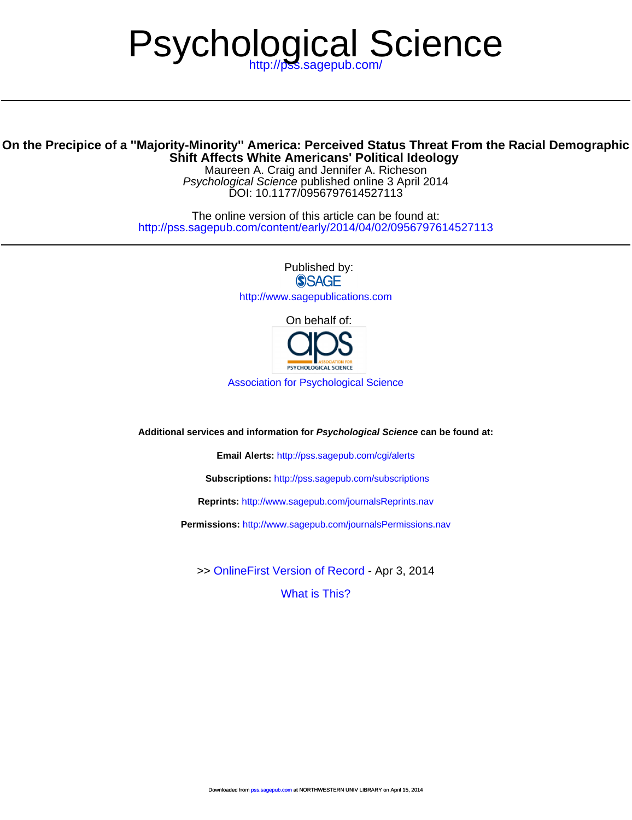# Psychological Science

# **Shift Affect[s White Americans](http://www.sagepub.com/journalsReprints.nav)' [Political Ideolo](http://www.sagepub.com/journalsReprints.nav)gy On the Precipice of a ''Majority-Minority'' America: Perceived Status Threat From the Racial Demographic**

DOI: 10.1177/0956797614527113 Psychological Science published online 3 April 2014 Maureen A. Craig and Jennifer A. Richeson

<http://pss.sagepub.com/content/early/2014/04/02/0956797614527113> The onlin[e version of this article can be found at:](http://www.sagepub.com/journalsPermissions.nav)

> Published by:<br>
> SAGE <http://www.sagepublications.com>

> > [On behalf of:](http://pss.sagepub.com/content/early/2014/04/02/0956797614527113.full.pdf)



[Association for Psychological Science](http://www.psychologicalscience.org/)

**Additional services and information for Psychological Science can be found at:**

**Email Alerts:** <http://pss.sagepub.com/cgi/alerts>

**Subscriptions:** <http://pss.sagepub.com/subscriptions>

**Reprints:** <http://www.sagepub.com/journalsReprints.nav>

**Permissions:** <http://www.sagepub.com/journalsPermissions.nav>

[What is This?](http://online.sagepub.com/site/sphelp/vorhelp.xhtml) >> [OnlineFirst Version of Record -](http://pss.sagepub.com/content/early/2014/04/02/0956797614527113.full.pdf) Apr 3, 2014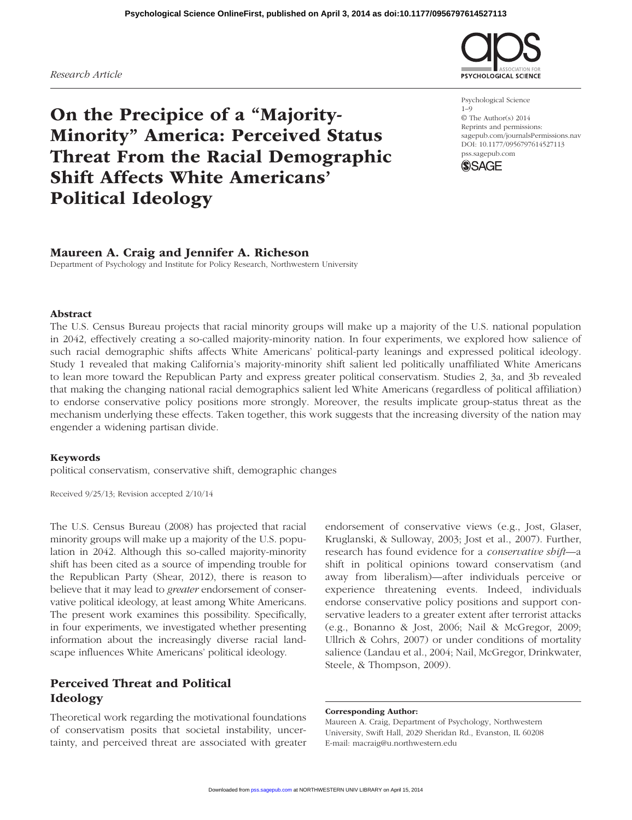The U.S. Census Bureau projects that racial minority groups will make up a majority of the U.S. national population in 2042, effectively creating a so-called majority-minority nation. In four experiments, we explored how salience of such racial demographic shifts affects White Americans' political-party leanings and expressed political ideology. Study 1 revealed that making California's majority-minority shift salient led politically unaffiliated White Americans to lean more toward the Republican Party and express greater political conservatism. Studies 2, 3a, and 3b revealed that making the changing national racial demographics salient led White Americans (regardless of political affiliation) to endorse conservative policy positions more strongly. Moreover, the results implicate group-status threat as the

Abstract

political conservatism, conservative shift, demographic changes

Maureen A. Craig and Jennifer A. Richeson

Department of Psychology and Institute for Policy Research, Northwestern University

Received 9/25/13; Revision accepted 2/10/14

The U.S. Census Bureau (2008) has projected that racial minority groups will make up a majority of the U.S. population in 2042. Although this so-called majority-minority shift has been cited as a source of impending trouble for the Republican Party (Shear, 2012), there is reason to believe that it may lead to *greater* endorsement of conservative political ideology, at least among White Americans. The present work examines this possibility. Specifically, in four experiments, we investigated whether presenting information about the increasingly diverse racial landscape influences White Americans' political ideology.

# Perceived Threat and Political Ideology

Theoretical work regarding the motivational foundations of conservatism posits that societal instability, uncertainty, and perceived threat are associated with greater

endorsement of conservative views (e.g., Jost, Glaser, Kruglanski, & Sulloway, 2003; Jost et al., 2007). Further, research has found evidence for a *conservative shift*—a shift in political opinions toward conservatism (and away from liberalism)—after individuals perceive or experience threatening events. Indeed, individuals endorse conservative policy positions and support conservative leaders to a greater extent after terrorist attacks (e.g., Bonanno & Jost, 2006; Nail & McGregor, 2009; Ullrich & Cohrs, 2007) or under conditions of mortality salience (Landau et al., 2004; Nail, McGregor, Drinkwater, Steele, & Thompson, 2009).

#### Corresponding Author:

Maureen A. Craig, Department of Psychology, Northwestern University, Swift Hall, 2029 Sheridan Rd., Evanston, IL 60208 E-mail: macraig@u.northwestern.edu

# **Psychological Science OnlineFirst, published on April 3, 2014 as doi:10.1177/0956797614527113**

# *Research Article*

# On the Precipice of a "Majority-Minority" America: Perceived Status Threat From the Racial Demographic Shift Affects White Americans' Political Ideology

Psychological Science 1–9 © The Author(s) 2014 Reprints and permissions: sagepub.com/journalsPermissions.nav DOI: 10.1177/0956797614527113 pss.sagepub.com

**SYCHOLOGICAL SCIENCE** 

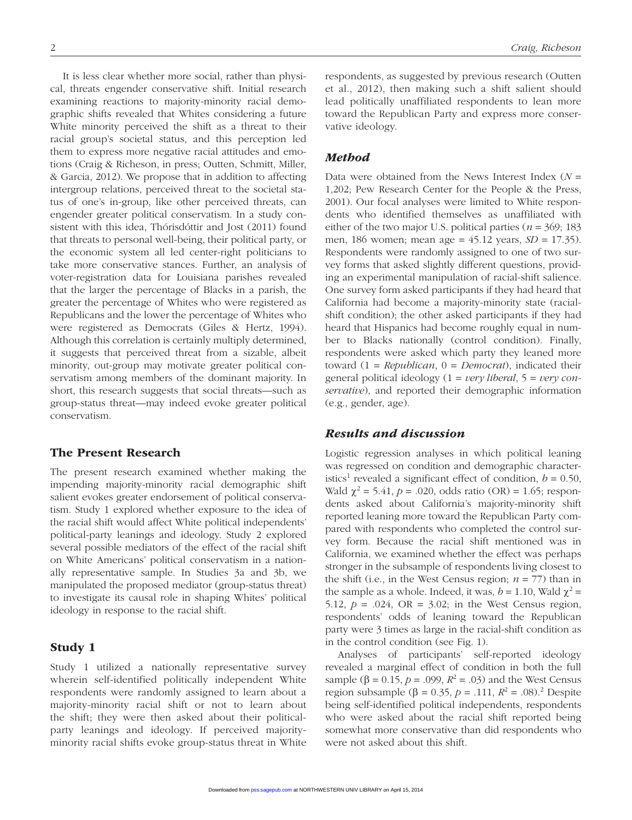It is less clear whether more social, rather than physical, threats engender conservative shift. Initial research examining reactions to majority-minority racial demographic shifts revealed that Whites considering a future White minority perceived the shift as a threat to their racial group's societal status, and this perception led them to express more negative racial attitudes and emotions (Craig & Richeson, in press; Outten, Schmitt, Miller, & Garcia, 2012). We propose that in addition to affecting intergroup relations, perceived threat to the societal status of one's in-group, like other perceived threats, can engender greater political conservatism. In a study consistent with this idea, Thórisdóttir and Jost (2011) found that threats to personal well-being, their political party, or the economic system all led center-right politicians to take more conservative stances. Further, an analysis of voter-registration data for Louisiana parishes revealed that the larger the percentage of Blacks in a parish, the greater the percentage of Whites who were registered as Republicans and the lower the percentage of Whites who were registered as Democrats (Giles & Hertz, 1994). Although this correlation is certainly multiply determined, it suggests that perceived threat from a sizable, albeit minority, out-group may motivate greater political conservatism among members of the dominant majority. In short, this research suggests that social threats—such as group-status threat—may indeed evoke greater political conservatism.

# The Present Research

The present research examined whether making the impending majority-minority racial demographic shift salient evokes greater endorsement of political conservatism. Study 1 explored whether exposure to the idea of the racial shift would affect White political independents' political-party leanings and ideology. Study 2 explored several possible mediators of the effect of the racial shift on White Americans' political conservatism in a nationally representative sample. In Studies 3a and 3b, we manipulated the proposed mediator (group-status threat) to investigate its causal role in shaping Whites' political ideology in response to the racial shift.

# Study 1

Study 1 utilized a nationally representative survey wherein self-identified politically independent White respondents were randomly assigned to learn about a majority-minority racial shift or not to learn about the shift; they were then asked about their politicalparty leanings and ideology. If perceived majorityminority racial shifts evoke group-status threat in White respondents, as suggested by previous research (Outten et al., 2012), then making such a shift salient should lead politically unaffiliated respondents to lean more toward the Republican Party and express more conservative ideology.

## *Method*

Data were obtained from the News Interest Index (*N* = 1,202; Pew Research Center for the People & the Press, 2001). Our focal analyses were limited to White respondents who identified themselves as unaffiliated with either of the two major U.S. political parties ( $n = 369$ ; 183 men, 186 women; mean age = 45.12 years, *SD* = 17.35). Respondents were randomly assigned to one of two survey forms that asked slightly different questions, providing an experimental manipulation of racial-shift salience. One survey form asked participants if they had heard that California had become a majority-minority state (racialshift condition); the other asked participants if they had heard that Hispanics had become roughly equal in number to Blacks nationally (control condition). Finally, respondents were asked which party they leaned more toward (1 = *Republican*, 0 = *Democrat*), indicated their general political ideology (1 = *very liberal*, 5 = *very conservative*), and reported their demographic information (e.g., gender, age).

#### *Results and discussion*

Logistic regression analyses in which political leaning was regressed on condition and demographic characteristics<sup>1</sup> revealed a significant effect of condition,  $b = 0.50$ , Wald  $\chi^2 = 5.41$ ,  $p = .020$ , odds ratio (OR) = 1.65; respondents asked about California's majority-minority shift reported leaning more toward the Republican Party compared with respondents who completed the control survey form. Because the racial shift mentioned was in California, we examined whether the effect was perhaps stronger in the subsample of respondents living closest to the shift (i.e., in the West Census region;  $n = 77$ ) than in the sample as a whole. Indeed, it was,  $b = 1.10$ , Wald  $\chi^2 =$ 5.12,  $p = .024$ ,  $OR = 3.02$ ; in the West Census region, respondents' odds of leaning toward the Republican party were 3 times as large in the racial-shift condition as in the control condition (see Fig. 1).

Analyses of participants' self-reported ideology revealed a marginal effect of condition in both the full sample (β = 0.15, *p* = .099,  $R^2$  = .03) and the West Census region subsample (β = 0.35, *p* = .111,  $R^2$  = .08).<sup>2</sup> Despite being self-identified political independents, respondents who were asked about the racial shift reported being somewhat more conservative than did respondents who were not asked about this shift.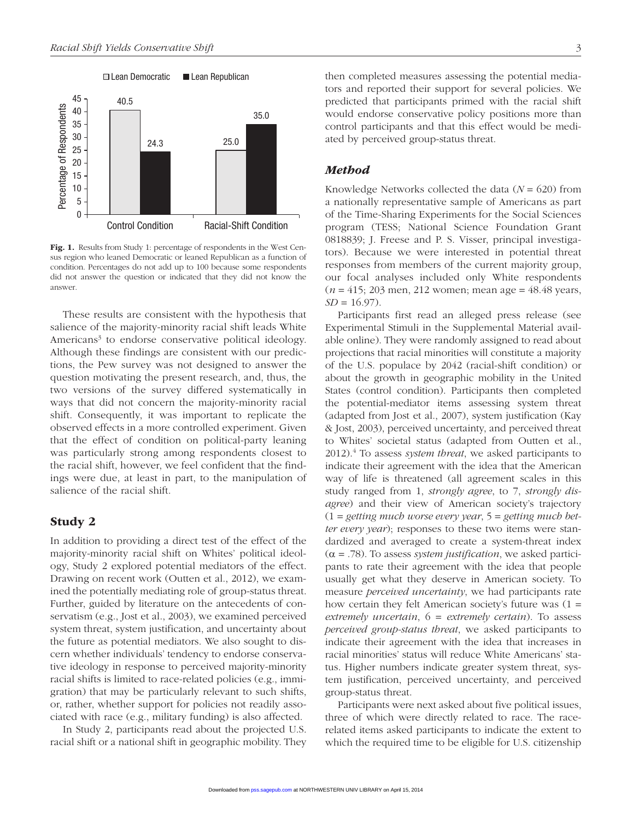

Fig. 1. Results from Study 1: percentage of respondents in the West Census region who leaned Democratic or leaned Republican as a function of condition. Percentages do not add up to 100 because some respondents did not answer the question or indicated that they did not know the answer.

These results are consistent with the hypothesis that salience of the majority-minority racial shift leads White Americans<sup>3</sup> to endorse conservative political ideology. Although these findings are consistent with our predictions, the Pew survey was not designed to answer the question motivating the present research, and, thus, the two versions of the survey differed systematically in ways that did not concern the majority-minority racial shift. Consequently, it was important to replicate the observed effects in a more controlled experiment. Given that the effect of condition on political-party leaning was particularly strong among respondents closest to the racial shift, however, we feel confident that the findings were due, at least in part, to the manipulation of salience of the racial shift.

#### Study 2

In addition to providing a direct test of the effect of the majority-minority racial shift on Whites' political ideology, Study 2 explored potential mediators of the effect. Drawing on recent work (Outten et al., 2012), we examined the potentially mediating role of group-status threat. Further, guided by literature on the antecedents of conservatism (e.g., Jost et al., 2003), we examined perceived system threat, system justification, and uncertainty about the future as potential mediators. We also sought to discern whether individuals' tendency to endorse conservative ideology in response to perceived majority-minority racial shifts is limited to race-related policies (e.g., immigration) that may be particularly relevant to such shifts, or, rather, whether support for policies not readily associated with race (e.g., military funding) is also affected.

In Study 2, participants read about the projected U.S. racial shift or a national shift in geographic mobility. They then completed measures assessing the potential mediators and reported their support for several policies. We predicted that participants primed with the racial shift would endorse conservative policy positions more than control participants and that this effect would be mediated by perceived group-status threat.

#### *Method*

Knowledge Networks collected the data (*N* = 620) from a nationally representative sample of Americans as part of the Time-Sharing Experiments for the Social Sciences program (TESS; National Science Foundation Grant 0818839; J. Freese and P. S. Visser, principal investigators). Because we were interested in potential threat responses from members of the current majority group, our focal analyses included only White respondents (*n* = 415; 203 men, 212 women; mean age = 48.48 years,  $SD = 16.97$ .

Participants first read an alleged press release (see Experimental Stimuli in the Supplemental Material available online). They were randomly assigned to read about projections that racial minorities will constitute a majority of the U.S. populace by 2042 (racial-shift condition) or about the growth in geographic mobility in the United States (control condition). Participants then completed the potential-mediator items assessing system threat (adapted from Jost et al., 2007), system justification (Kay & Jost, 2003), perceived uncertainty, and perceived threat to Whites' societal status (adapted from Outten et al., 2012).4 To assess *system threat*, we asked participants to indicate their agreement with the idea that the American way of life is threatened (all agreement scales in this study ranged from 1, *strongly agree*, to 7, *strongly disagree*) and their view of American society's trajectory (1 = *getting much worse every year*, 5 = *getting much better every year*); responses to these two items were standardized and averaged to create a system-threat index  $(\alpha = .78)$ . To assess *system justification*, we asked participants to rate their agreement with the idea that people usually get what they deserve in American society. To measure *perceived uncertainty*, we had participants rate how certain they felt American society's future was (1 = *extremely uncertain*, 6 = *extremely certain*). To assess *perceived group-status threat*, we asked participants to indicate their agreement with the idea that increases in racial minorities' status will reduce White Americans' status. Higher numbers indicate greater system threat, system justification, perceived uncertainty, and perceived group-status threat.

Participants were next asked about five political issues, three of which were directly related to race. The racerelated items asked participants to indicate the extent to which the required time to be eligible for U.S. citizenship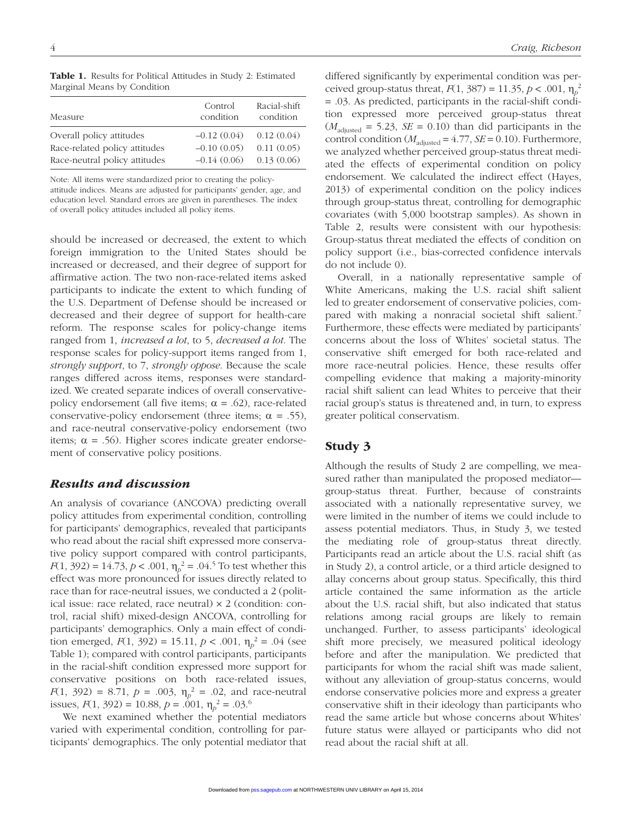| Measure                       | Control<br>condition | Racial-shift<br>condition |
|-------------------------------|----------------------|---------------------------|
| Overall policy attitudes      | $-0.12(0.04)$        | 0.12(0.04)                |
| Race-related policy attitudes | $-0.10(0.05)$        | 0.11(0.05)                |
| Race-neutral policy attitudes | $-0.14(0.06)$        | 0.13(0.06)                |

Table 1. Results for Political Attitudes in Study 2: Estimated Marginal Means by Condition

Note: All items were standardized prior to creating the policyattitude indices. Means are adjusted for participants' gender, age, and

education level. Standard errors are given in parentheses. The index of overall policy attitudes included all policy items.

should be increased or decreased, the extent to which foreign immigration to the United States should be increased or decreased, and their degree of support for affirmative action. The two non-race-related items asked participants to indicate the extent to which funding of the U.S. Department of Defense should be increased or decreased and their degree of support for health-care reform. The response scales for policy-change items ranged from 1, *increased a lot*, to 5, *decreased a lot*. The response scales for policy-support items ranged from 1, *strongly support*, to 7, *strongly oppose*. Because the scale ranges differed across items, responses were standardized. We created separate indices of overall conservativepolicy endorsement (all five items;  $\alpha = .62$ ), race-related conservative-policy endorsement (three items;  $\alpha = .55$ ), and race-neutral conservative-policy endorsement (two items;  $\alpha = .56$ ). Higher scores indicate greater endorsement of conservative policy positions.

# *Results and discussion*

An analysis of covariance (ANCOVA) predicting overall policy attitudes from experimental condition, controlling for participants' demographics, revealed that participants who read about the racial shift expressed more conservative policy support compared with control participants, *F*(1, 392) = 14.73, *p* < .001,  $\eta_p^2$  = .04.<sup>5</sup> To test whether this effect was more pronounced for issues directly related to race than for race-neutral issues, we conducted a 2 (political issue: race related, race neutral) × 2 (condition: control, racial shift) mixed-design ANCOVA, controlling for participants' demographics. Only a main effect of condition emerged,  $F(1, 392) = 15.11$ ,  $p < .001$ ,  $\eta_p^2 = .04$  (see Table 1); compared with control participants, participants in the racial-shift condition expressed more support for conservative positions on both race-related issues, *F*(1, 392) = 8.71,  $p = .003$ ,  $\eta_p^2 = .02$ , and race-neutral issues,  $F(1, 392) = 10.88$ ,  $p = .001$ ,  $\eta_p^2 = .03$ .<sup>6</sup>

We next examined whether the potential mediators varied with experimental condition, controlling for participants' demographics. The only potential mediator that differed significantly by experimental condition was perceived group-status threat, *F*(1, 387) = 11.35, *p* < .001,  $η<sub>p</sub><sup>2</sup>$ = .03. As predicted, participants in the racial-shift condition expressed more perceived group-status threat  $(M<sub>adjusted</sub> = 5.23, SE = 0.10)$  than did participants in the control condition  $(M_{\text{adjusted}} = 4.77, SE = 0.10)$ . Furthermore, we analyzed whether perceived group-status threat mediated the effects of experimental condition on policy endorsement. We calculated the indirect effect (Hayes, 2013) of experimental condition on the policy indices through group-status threat, controlling for demographic covariates (with 5,000 bootstrap samples). As shown in Table 2, results were consistent with our hypothesis: Group-status threat mediated the effects of condition on policy support (i.e., bias-corrected confidence intervals do not include 0).

Overall, in a nationally representative sample of White Americans, making the U.S. racial shift salient led to greater endorsement of conservative policies, compared with making a nonracial societal shift salient.<sup>7</sup> Furthermore, these effects were mediated by participants' concerns about the loss of Whites' societal status. The conservative shift emerged for both race-related and more race-neutral policies. Hence, these results offer compelling evidence that making a majority-minority racial shift salient can lead Whites to perceive that their racial group's status is threatened and, in turn, to express greater political conservatism.

# Study 3

Although the results of Study 2 are compelling, we measured rather than manipulated the proposed mediator group-status threat. Further, because of constraints associated with a nationally representative survey, we were limited in the number of items we could include to assess potential mediators. Thus, in Study 3, we tested the mediating role of group-status threat directly. Participants read an article about the U.S. racial shift (as in Study 2), a control article, or a third article designed to allay concerns about group status. Specifically, this third article contained the same information as the article about the U.S. racial shift, but also indicated that status relations among racial groups are likely to remain unchanged. Further, to assess participants' ideological shift more precisely, we measured political ideology before and after the manipulation. We predicted that participants for whom the racial shift was made salient, without any alleviation of group-status concerns, would endorse conservative policies more and express a greater conservative shift in their ideology than participants who read the same article but whose concerns about Whites' future status were allayed or participants who did not read about the racial shift at all.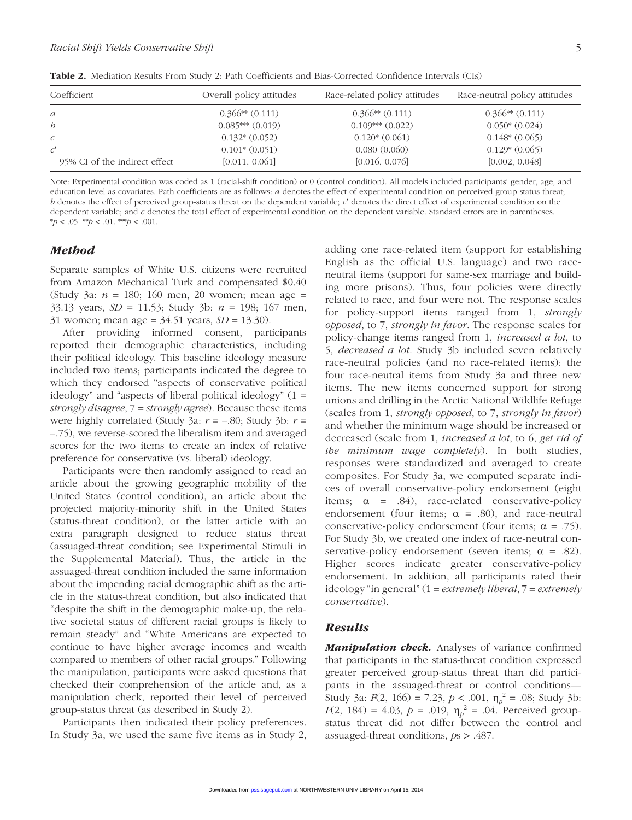| Coefficient                   | Overall policy attitudes | Race-related policy attitudes | Race-neutral policy attitudes |
|-------------------------------|--------------------------|-------------------------------|-------------------------------|
| $\mathfrak{a}$                | $0.366**$ $(0.111)$      | $0.366**$ $(0.111)$           | $0.366**$ $(0.111)$           |
| $\boldsymbol{b}$              | $0.085***(0.019)$        | $0.109***$ $(0.022)$          | $0.050*(0.024)$               |
| $\mathcal{C}$                 | $0.132*(0.052)$          | $0.120*(0.061)$               | $0.148*(0.065)$               |
|                               | $0.101*(0.051)$          | 0.080(0.060)                  | $0.129*(0.065)$               |
| 95% CI of the indirect effect | [0.011, 0.061]           | [0.016, 0.076]                | [0.002, 0.048]                |

Table 2. Mediation Results From Study 2: Path Coefficients and Bias-Corrected Confidence Intervals (CIs)

Note: Experimental condition was coded as 1 (racial-shift condition) or 0 (control condition). All models included participants' gender, age, and education level as covariates. Path coefficients are as follows: *a* denotes the effect of experimental condition on perceived group-status threat; *b* denotes the effect of perceived group-status threat on the dependent variable; *c*′ denotes the direct effect of experimental condition on the dependent variable; and *c* denotes the total effect of experimental condition on the dependent variable. Standard errors are in parentheses.  $* p < .05.$  \*\* $p < .01.$  \*\* $p < .001.$ 

### *Method*

Separate samples of White U.S. citizens were recruited from Amazon Mechanical Turk and compensated \$0.40 (Study 3a: *n* = 180; 160 men, 20 women; mean age = 33.13 years, *SD* = 11.53; Study 3b: *n* = 198; 167 men, 31 women; mean age = 34.51 years, *SD* = 13.30).

After providing informed consent, participants reported their demographic characteristics, including their political ideology. This baseline ideology measure included two items; participants indicated the degree to which they endorsed "aspects of conservative political ideology" and "aspects of liberal political ideology" (1 = *strongly disagree*, 7 = *strongly agree*). Because these items were highly correlated (Study 3a: *r* = –.80; Study 3b: *r* = –.75), we reverse-scored the liberalism item and averaged scores for the two items to create an index of relative preference for conservative (vs. liberal) ideology.

Participants were then randomly assigned to read an article about the growing geographic mobility of the United States (control condition), an article about the projected majority-minority shift in the United States (status-threat condition), or the latter article with an extra paragraph designed to reduce status threat (assuaged-threat condition; see Experimental Stimuli in the Supplemental Material). Thus, the article in the assuaged-threat condition included the same information about the impending racial demographic shift as the article in the status-threat condition, but also indicated that "despite the shift in the demographic make-up, the relative societal status of different racial groups is likely to remain steady" and "White Americans are expected to continue to have higher average incomes and wealth compared to members of other racial groups." Following the manipulation, participants were asked questions that checked their comprehension of the article and, as a manipulation check, reported their level of perceived group-status threat (as described in Study 2).

Participants then indicated their policy preferences. In Study 3a, we used the same five items as in Study 2, adding one race-related item (support for establishing English as the official U.S. language) and two raceneutral items (support for same-sex marriage and building more prisons). Thus, four policies were directly related to race, and four were not. The response scales for policy-support items ranged from 1, *strongly opposed*, to 7, *strongly in favor*. The response scales for policy-change items ranged from 1, *increased a lot*, to 5, *decreased a lot*. Study 3b included seven relatively race-neutral policies (and no race-related items): the four race-neutral items from Study 3a and three new items. The new items concerned support for strong unions and drilling in the Arctic National Wildlife Refuge (scales from 1, *strongly opposed*, to 7, *strongly in favor*) and whether the minimum wage should be increased or decreased (scale from 1, *increased a lot*, to 6, *get rid of the minimum wage completely*). In both studies, responses were standardized and averaged to create composites. For Study 3a, we computed separate indices of overall conservative-policy endorsement (eight items;  $\alpha$  = .84), race-related conservative-policy endorsement (four items;  $\alpha = .80$ ), and race-neutral conservative-policy endorsement (four items;  $\alpha = .75$ ). For Study 3b, we created one index of race-neutral conservative-policy endorsement (seven items;  $\alpha = .82$ ). Higher scores indicate greater conservative-policy endorsement. In addition, all participants rated their ideology "in general" (1 = *extremely liberal*, 7 = *extremely conservative*).

#### *Results*

*Manipulation check.* Analyses of variance confirmed that participants in the status-threat condition expressed greater perceived group-status threat than did participants in the assuaged-threat or control conditions— Study 3a:  $F(2, 166) = 7.23$ ,  $p < .001$ ,  $\eta_p^2 = .08$ ; Study 3b: *F*(2, 184) = 4.03, *p* = .019,  $\eta_p^2$  = .04. Perceived groupstatus threat did not differ between the control and assuaged-threat conditions, *p*s > .487.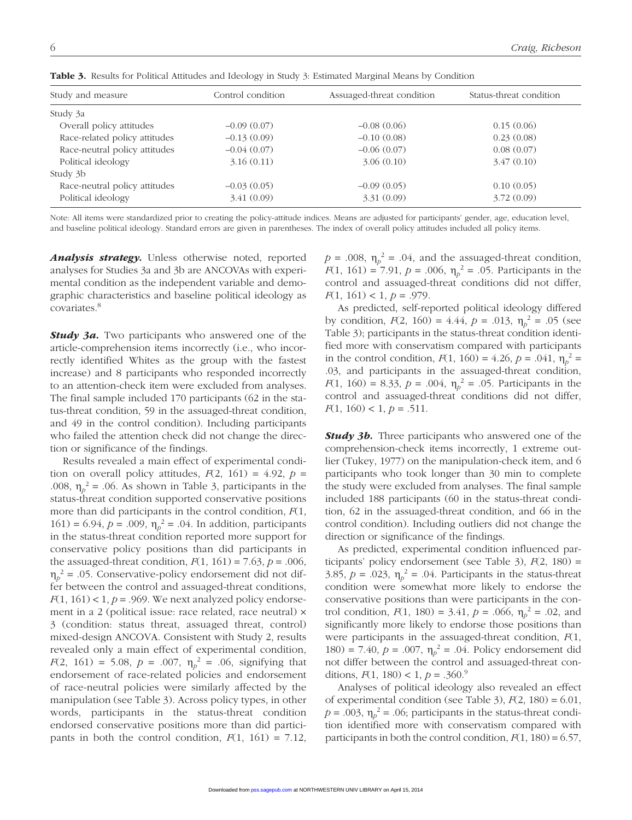| Study and measure             | Control condition | Assuaged-threat condition | Status-threat condition |
|-------------------------------|-------------------|---------------------------|-------------------------|
| Study 3a                      |                   |                           |                         |
| Overall policy attitudes      | $-0.09(0.07)$     | $-0.08(0.06)$             | 0.15(0.06)              |
| Race-related policy attitudes | $-0.13(0.09)$     | $-0.10(0.08)$             | 0.23(0.08)              |
| Race-neutral policy attitudes | $-0.04(0.07)$     | $-0.06(0.07)$             | 0.08(0.07)              |
| Political ideology            | 3.16(0.11)        | 3.06(0.10)                | 3.47(0.10)              |
| Study 3b                      |                   |                           |                         |
| Race-neutral policy attitudes | $-0.03(0.05)$     | $-0.09(0.05)$             | 0.10(0.05)              |
| Political ideology            | 3.41(0.09)        | 3.31(0.09)                | 3.72(0.09)              |

Table 3. Results for Political Attitudes and Ideology in Study 3: Estimated Marginal Means by Condition

Note: All items were standardized prior to creating the policy-attitude indices. Means are adjusted for participants' gender, age, education level, and baseline political ideology. Standard errors are given in parentheses. The index of overall policy attitudes included all policy items.

*Analysis strategy.* Unless otherwise noted, reported analyses for Studies 3a and 3b are ANCOVAs with experimental condition as the independent variable and demographic characteristics and baseline political ideology as covariates.8

*Study 3a.* Two participants who answered one of the article-comprehension items incorrectly (i.e., who incorrectly identified Whites as the group with the fastest increase) and 8 participants who responded incorrectly to an attention-check item were excluded from analyses. The final sample included 170 participants (62 in the status-threat condition, 59 in the assuaged-threat condition, and 49 in the control condition). Including participants who failed the attention check did not change the direction or significance of the findings.

Results revealed a main effect of experimental condition on overall policy attitudes,  $F(2, 161) = 4.92$ ,  $p =$ .008,  $\eta_p^2 = .06$ . As shown in Table 3, participants in the status-threat condition supported conservative positions more than did participants in the control condition, *F*(1, 161) = 6.94,  $p = .009$ ,  $\eta_p^2 = .04$ . In addition, participants in the status-threat condition reported more support for conservative policy positions than did participants in the assuaged-threat condition,  $F(1, 161) = 7.63$ ,  $p = .006$ ,  $\eta_p^2$  = .05. Conservative-policy endorsement did not differ between the control and assuaged-threat conditions,  $F(1, 161) < 1, p = .969$ . We next analyzed policy endorsement in a 2 (political issue: race related, race neutral) × 3 (condition: status threat, assuaged threat, control) mixed-design ANCOVA. Consistent with Study 2, results revealed only a main effect of experimental condition, *F*(2, 161) = 5.08, *p* = .007,  $\eta_p^2$  = .06, signifying that endorsement of race-related policies and endorsement of race-neutral policies were similarly affected by the manipulation (see Table 3). Across policy types, in other words, participants in the status-threat condition endorsed conservative positions more than did participants in both the control condition,  $F(1, 161) = 7.12$ ,

 $p = .008$ ,  $\eta_p^2 = .04$ , and the assuaged-threat condition, *F*(1, 161) = 7.91, *p* = .006,  $\eta_p^2$  = .05. Participants in the control and assuaged-threat conditions did not differ, *F*(1, 161) < 1, *p* = .979.

As predicted, self-reported political ideology differed by condition,  $F(2, 160) = 4.44$ ,  $p = .013$ ,  $\eta_p^2 = .05$  (see Table 3); participants in the status-threat condition identified more with conservatism compared with participants in the control condition,  $F(1, 160) = 4.26$ ,  $p = .041$ ,  $\eta_p^2 =$ .03, and participants in the assuaged-threat condition, *F*(1, 160) = 8.33, *p* = .004,  $\eta_p^2$  = .05. Participants in the control and assuaged-threat conditions did not differ,  $F(1, 160) < 1, p = .511.$ 

*Study 3b.* Three participants who answered one of the comprehension-check items incorrectly, 1 extreme outlier (Tukey, 1977) on the manipulation-check item, and 6 participants who took longer than 30 min to complete the study were excluded from analyses. The final sample included 188 participants (60 in the status-threat condition, 62 in the assuaged-threat condition, and 66 in the control condition). Including outliers did not change the direction or significance of the findings.

As predicted, experimental condition influenced participants' policy endorsement (see Table 3), *F*(2, 180) = 3.85,  $p = .023$ ,  $\eta_p^2 = .04$ . Participants in the status-threat condition were somewhat more likely to endorse the conservative positions than were participants in the control condition,  $F(1, 180) = 3.41$ ,  $p = .066$ ,  $\eta_p^2 = .02$ , and significantly more likely to endorse those positions than were participants in the assuaged-threat condition, *F*(1, 180) = 7.40,  $p = .007$ ,  $\eta_p^2 = .04$ . Policy endorsement did not differ between the control and assuaged-threat conditions,  $F(1, 180) < 1, p = .360$ .<sup>9</sup>

Analyses of political ideology also revealed an effect of experimental condition (see Table 3),  $F(2, 180) = 6.01$ ,  $p = .003$ ,  $\eta_p^2 = .06$ ; participants in the status-threat condition identified more with conservatism compared with participants in both the control condition,  $F(1, 180) = 6.57$ ,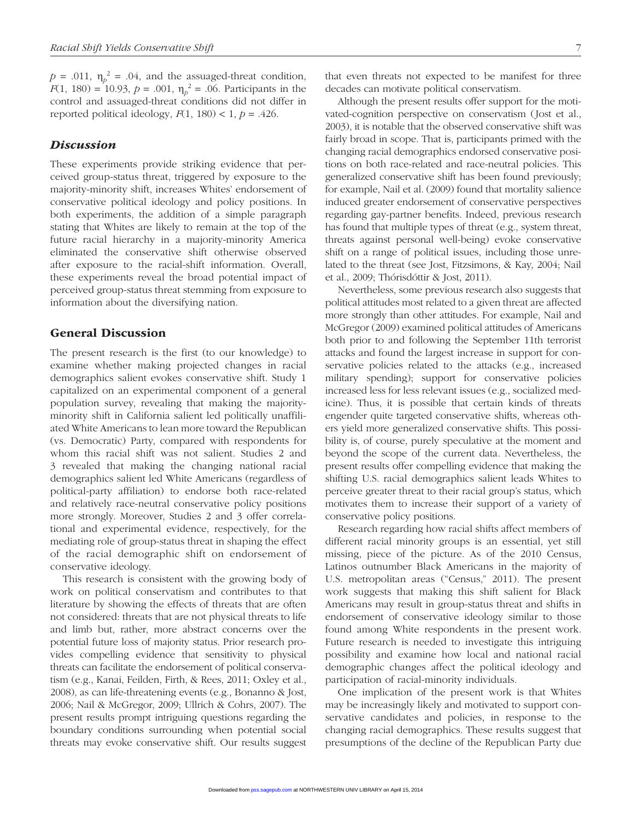$p = .011$ ,  $\eta_p^2 = .04$ , and the assuaged-threat condition, *F*(1, 180) = 10.93, *p* = .001,  $\eta_p^2$  = .06. Participants in the control and assuaged-threat conditions did not differ in reported political ideology,  $F(1, 180) < 1$ ,  $p = .426$ .

#### *Discussion*

These experiments provide striking evidence that perceived group-status threat, triggered by exposure to the majority-minority shift, increases Whites' endorsement of conservative political ideology and policy positions. In both experiments, the addition of a simple paragraph stating that Whites are likely to remain at the top of the future racial hierarchy in a majority-minority America eliminated the conservative shift otherwise observed after exposure to the racial-shift information. Overall, these experiments reveal the broad potential impact of perceived group-status threat stemming from exposure to information about the diversifying nation.

# General Discussion

The present research is the first (to our knowledge) to examine whether making projected changes in racial demographics salient evokes conservative shift. Study 1 capitalized on an experimental component of a general population survey, revealing that making the majorityminority shift in California salient led politically unaffiliated White Americans to lean more toward the Republican (vs. Democratic) Party, compared with respondents for whom this racial shift was not salient. Studies 2 and 3 revealed that making the changing national racial demographics salient led White Americans (regardless of political-party affiliation) to endorse both race-related and relatively race-neutral conservative policy positions more strongly. Moreover, Studies 2 and 3 offer correlational and experimental evidence, respectively, for the mediating role of group-status threat in shaping the effect of the racial demographic shift on endorsement of conservative ideology.

This research is consistent with the growing body of work on political conservatism and contributes to that literature by showing the effects of threats that are often not considered: threats that are not physical threats to life and limb but, rather, more abstract concerns over the potential future loss of majority status. Prior research provides compelling evidence that sensitivity to physical threats can facilitate the endorsement of political conservatism (e.g., Kanai, Feilden, Firth, & Rees, 2011; Oxley et al., 2008), as can life-threatening events (e.g., Bonanno & Jost, 2006; Nail & McGregor, 2009; Ullrich & Cohrs, 2007). The present results prompt intriguing questions regarding the boundary conditions surrounding when potential social threats may evoke conservative shift. Our results suggest that even threats not expected to be manifest for three decades can motivate political conservatism.

Although the present results offer support for the motivated-cognition perspective on conservatism (Jost et al., 2003), it is notable that the observed conservative shift was fairly broad in scope. That is, participants primed with the changing racial demographics endorsed conservative positions on both race-related and race-neutral policies. This generalized conservative shift has been found previously; for example, Nail et al. (2009) found that mortality salience induced greater endorsement of conservative perspectives regarding gay-partner benefits. Indeed, previous research has found that multiple types of threat (e.g., system threat, threats against personal well-being) evoke conservative shift on a range of political issues, including those unrelated to the threat (see Jost, Fitzsimons, & Kay, 2004; Nail et al., 2009; Thórisdóttir & Jost, 2011).

Nevertheless, some previous research also suggests that political attitudes most related to a given threat are affected more strongly than other attitudes. For example, Nail and McGregor (2009) examined political attitudes of Americans both prior to and following the September 11th terrorist attacks and found the largest increase in support for conservative policies related to the attacks (e.g., increased military spending); support for conservative policies increased less for less relevant issues (e.g., socialized medicine). Thus, it is possible that certain kinds of threats engender quite targeted conservative shifts, whereas others yield more generalized conservative shifts. This possibility is, of course, purely speculative at the moment and beyond the scope of the current data. Nevertheless, the present results offer compelling evidence that making the shifting U.S. racial demographics salient leads Whites to perceive greater threat to their racial group's status, which motivates them to increase their support of a variety of conservative policy positions.

Research regarding how racial shifts affect members of different racial minority groups is an essential, yet still missing, piece of the picture. As of the 2010 Census, Latinos outnumber Black Americans in the majority of U.S. metropolitan areas ("Census," 2011). The present work suggests that making this shift salient for Black Americans may result in group-status threat and shifts in endorsement of conservative ideology similar to those found among White respondents in the present work. Future research is needed to investigate this intriguing possibility and examine how local and national racial demographic changes affect the political ideology and participation of racial-minority individuals.

One implication of the present work is that Whites may be increasingly likely and motivated to support conservative candidates and policies, in response to the changing racial demographics. These results suggest that presumptions of the decline of the Republican Party due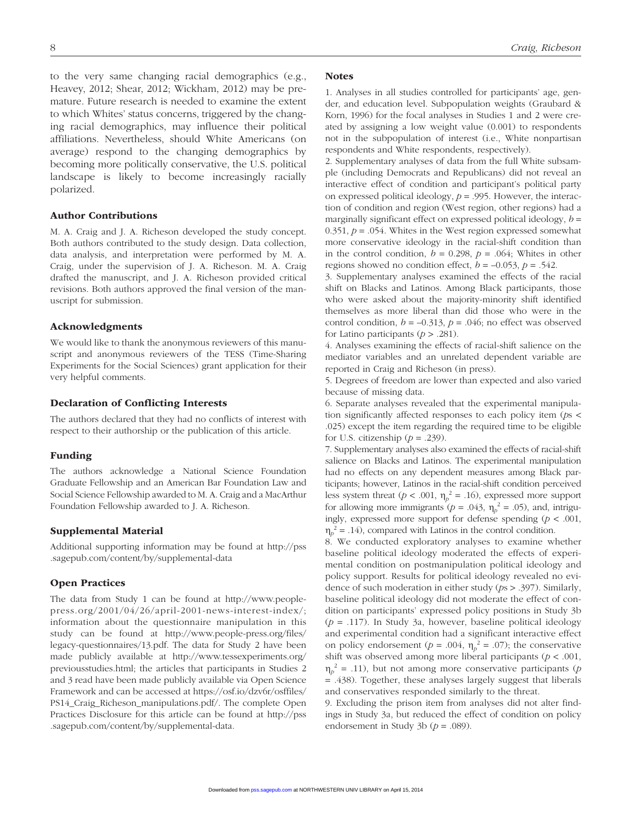to the very same changing racial demographics (e.g., Heavey, 2012; Shear, 2012; Wickham, 2012) may be premature. Future research is needed to examine the extent to which Whites' status concerns, triggered by the changing racial demographics, may influence their political affiliations. Nevertheless, should White Americans (on average) respond to the changing demographics by becoming more politically conservative, the U.S. political landscape is likely to become increasingly racially polarized.

#### Author Contributions

M. A. Craig and J. A. Richeson developed the study concept. Both authors contributed to the study design. Data collection, data analysis, and interpretation were performed by M. A. Craig, under the supervision of J. A. Richeson. M. A. Craig drafted the manuscript, and J. A. Richeson provided critical revisions. Both authors approved the final version of the manuscript for submission.

#### Acknowledgments

We would like to thank the anonymous reviewers of this manuscript and anonymous reviewers of the TESS (Time-Sharing Experiments for the Social Sciences) grant application for their very helpful comments.

#### Declaration of Conflicting Interests

The authors declared that they had no conflicts of interest with respect to their authorship or the publication of this article.

#### Funding

The authors acknowledge a National Science Foundation Graduate Fellowship and an American Bar Foundation Law and Social Science Fellowship awarded to M. A. Craig and a MacArthur Foundation Fellowship awarded to J. A. Richeson.

#### Supplemental Material

Additional supporting information may be found at http://pss .sagepub.com/content/by/supplemental-data

#### Open Practices

The data from Study 1 can be found at http://www.peoplepress.org/2001/04/26/april-2001-news-interest-index/; information about the questionnaire manipulation in this study can be found at http://www.people-press.org/files/ legacy-questionnaires/13.pdf. The data for Study 2 have been made publicly available at http://www.tessexperiments.org/ previousstudies.html; the articles that participants in Studies 2 and 3 read have been made publicly available via Open Science Framework and can be accessed at https://osf.io/dzv6r/osffiles/ PS14\_Craig\_Richeson\_manipulations.pdf/. The complete Open Practices Disclosure for this article can be found at http://pss .sagepub.com/content/by/supplemental-data.

#### **Notes**

1. Analyses in all studies controlled for participants' age, gender, and education level. Subpopulation weights (Graubard & Korn, 1996) for the focal analyses in Studies 1 and 2 were created by assigning a low weight value (0.001) to respondents not in the subpopulation of interest (i.e., White nonpartisan respondents and White respondents, respectively).

2. Supplementary analyses of data from the full White subsample (including Democrats and Republicans) did not reveal an interactive effect of condition and participant's political party on expressed political ideology, *p* = .995. However, the interaction of condition and region (West region, other regions) had a marginally significant effect on expressed political ideology, *b* = 0.351,  $p = 0.054$ . Whites in the West region expressed somewhat more conservative ideology in the racial-shift condition than in the control condition,  $b = 0.298$ ,  $p = .064$ ; Whites in other regions showed no condition effect,  $b = -0.053$ ,  $p = 0.542$ .

3. Supplementary analyses examined the effects of the racial shift on Blacks and Latinos. Among Black participants, those who were asked about the majority-minority shift identified themselves as more liberal than did those who were in the control condition,  $b = -0.313$ ,  $p = .046$ ; no effect was observed for Latino participants (*p* > .281).

4. Analyses examining the effects of racial-shift salience on the mediator variables and an unrelated dependent variable are reported in Craig and Richeson (in press).

5. Degrees of freedom are lower than expected and also varied because of missing data.

6. Separate analyses revealed that the experimental manipulation significantly affected responses to each policy item (*p*s < .025) except the item regarding the required time to be eligible for U.S. citizenship  $(p = .239)$ .

7. Supplementary analyses also examined the effects of racial-shift salience on Blacks and Latinos. The experimental manipulation had no effects on any dependent measures among Black participants; however, Latinos in the racial-shift condition perceived less system threat ( $p < .001$ ,  $\eta_p^2 = .16$ ), expressed more support for allowing more immigrants  $(p = .043, \eta_p^2 = .05)$ , and, intriguingly, expressed more support for defense spending  $(p < .001, )$  $\eta_p^2 = .14$ ), compared with Latinos in the control condition.

8. We conducted exploratory analyses to examine whether baseline political ideology moderated the effects of experimental condition on postmanipulation political ideology and policy support. Results for political ideology revealed no evidence of such moderation in either study (*p*s > .397). Similarly, baseline political ideology did not moderate the effect of condition on participants' expressed policy positions in Study 3b (*p* = .117). In Study 3a, however, baseline political ideology and experimental condition had a significant interactive effect on policy endorsement ( $p = .004$ ,  $\eta_p^2 = .07$ ); the conservative shift was observed among more liberal participants (*p* < .001,  $\eta_p^2$  = .11), but not among more conservative participants (*p* = .438). Together, these analyses largely suggest that liberals and conservatives responded similarly to the threat.

9. Excluding the prison item from analyses did not alter findings in Study 3a, but reduced the effect of condition on policy endorsement in Study 3b ( $p = .089$ ).